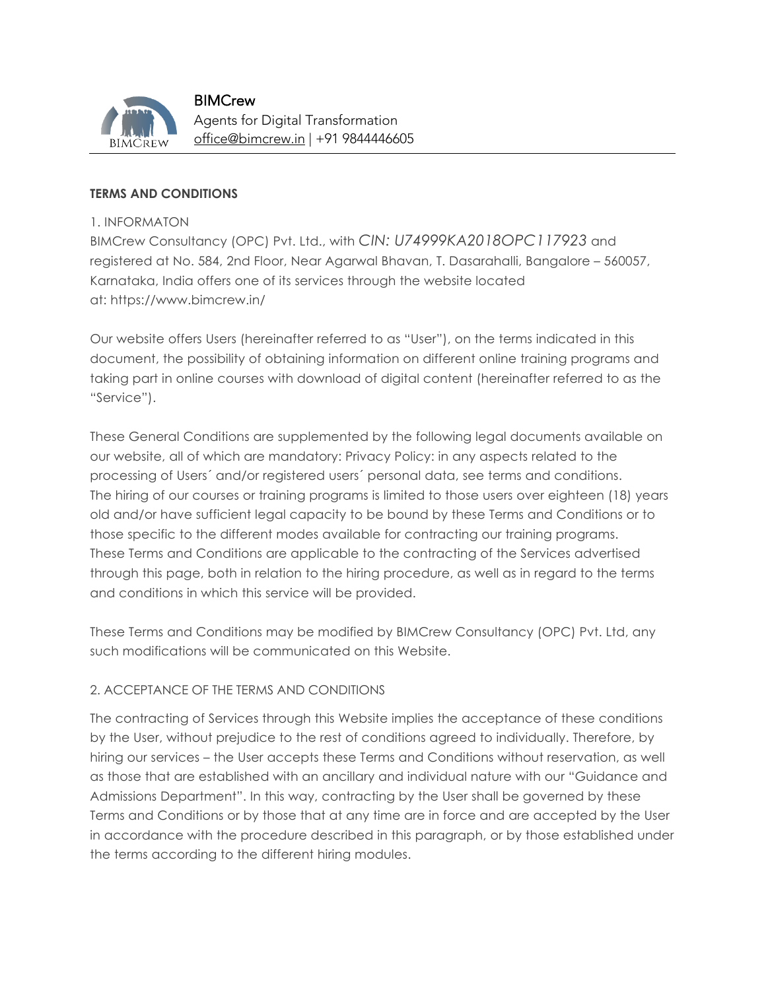

**BIMCrew** Agents for Digital Transformation office@bimcrew.in | +91 9844446605

#### **TERMS AND CONDITIONS**

#### 1. INFORMATON

BIMCrew Consultancy (OPC) Pvt. Ltd., with *CIN: U74999KA2018OPC117923* and registered at No. 584, 2nd Floor, Near Agarwal Bhavan, T. Dasarahalli, Bangalore – 560057, Karnataka, India offers one of its services through the website located at: https://www.bimcrew.in/

Our website offers Users (hereinafter referred to as "User"), on the terms indicated in this document, the possibility of obtaining information on different online training programs and taking part in online courses with download of digital content (hereinafter referred to as the "Service").

These General Conditions are supplemented by the following legal documents available on our website, all of which are mandatory: Privacy Policy: in any aspects related to the processing of Users´ and/or registered users´ personal data, see terms and conditions. The hiring of our courses or training programs is limited to those users over eighteen (18) years old and/or have sufficient legal capacity to be bound by these Terms and Conditions or to those specific to the different modes available for contracting our training programs. These Terms and Conditions are applicable to the contracting of the Services advertised through this page, both in relation to the hiring procedure, as well as in regard to the terms and conditions in which this service will be provided.

These Terms and Conditions may be modified by BIMCrew Consultancy (OPC) Pvt. Ltd, any such modifications will be communicated on this Website.

## 2. ACCEPTANCE OF THE TERMS AND CONDITIONS

The contracting of Services through this Website implies the acceptance of these conditions by the User, without prejudice to the rest of conditions agreed to individually. Therefore, by hiring our services – the User accepts these Terms and Conditions without reservation, as well as those that are established with an ancillary and individual nature with our "Guidance and Admissions Department". In this way, contracting by the User shall be governed by these Terms and Conditions or by those that at any time are in force and are accepted by the User in accordance with the procedure described in this paragraph, or by those established under the terms according to the different hiring modules.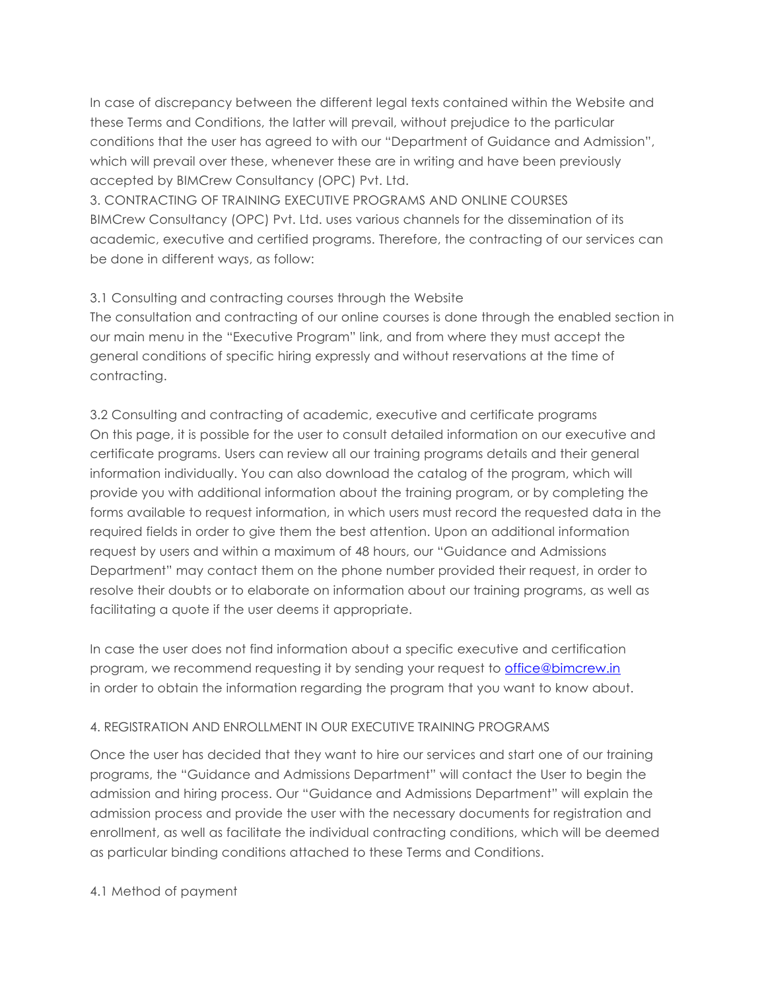In case of discrepancy between the different legal texts contained within the Website and these Terms and Conditions, the latter will prevail, without prejudice to the particular conditions that the user has agreed to with our "Department of Guidance and Admission", which will prevail over these, whenever these are in writing and have been previously accepted by BIMCrew Consultancy (OPC) Pvt. Ltd.

3. CONTRACTING OF TRAINING EXECUTIVE PROGRAMS AND ONLINE COURSES BIMCrew Consultancy (OPC) Pvt. Ltd. uses various channels for the dissemination of its academic, executive and certified programs. Therefore, the contracting of our services can be done in different ways, as follow:

# 3.1 Consulting and contracting courses through the Website

The consultation and contracting of our online courses is done through the enabled section in our main menu in the "Executive Program" link, and from where they must accept the general conditions of specific hiring expressly and without reservations at the time of contracting.

3.2 Consulting and contracting of academic, executive and certificate programs On this page, it is possible for the user to consult detailed information on our executive and certificate programs. Users can review all our training programs details and their general information individually. You can also download the catalog of the program, which will provide you with additional information about the training program, or by completing the forms available to request information, in which users must record the requested data in the required fields in order to give them the best attention. Upon an additional information request by users and within a maximum of 48 hours, our "Guidance and Admissions Department" may contact them on the phone number provided their request, in order to resolve their doubts or to elaborate on information about our training programs, as well as facilitating a quote if the user deems it appropriate.

In case the user does not find information about a specific executive and certification program, we recommend requesting it by sending your request to office@bimcrew.in in order to obtain the information regarding the program that you want to know about.

## 4. REGISTRATION AND ENROLLMENT IN OUR EXECUTIVE TRAINING PROGRAMS

Once the user has decided that they want to hire our services and start one of our training programs, the "Guidance and Admissions Department" will contact the User to begin the admission and hiring process. Our "Guidance and Admissions Department" will explain the admission process and provide the user with the necessary documents for registration and enrollment, as well as facilitate the individual contracting conditions, which will be deemed as particular binding conditions attached to these Terms and Conditions.

## 4.1 Method of payment